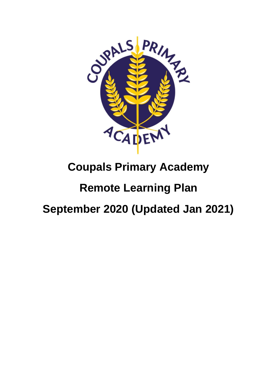

## **Coupals Primary Academy**

## **Remote Learning Plan**

# **September 2020 (Updated Jan 2021)**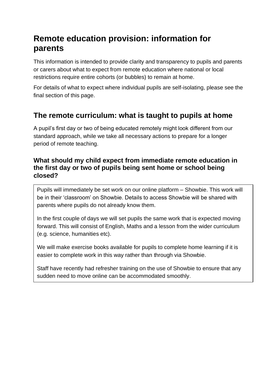## **Remote education provision: information for parents**

This information is intended to provide clarity and transparency to pupils and parents or carers about what to expect from remote education where national or local restrictions require entire cohorts (or bubbles) to remain at home.

For details of what to expect where individual pupils are self-isolating, please see the final section of this page.

### **The remote curriculum: what is taught to pupils at home**

A pupil's first day or two of being educated remotely might look different from our standard approach, while we take all necessary actions to prepare for a longer period of remote teaching.

#### **What should my child expect from immediate remote education in the first day or two of pupils being sent home or school being closed?**

Pupils will immediately be set work on our online platform – Showbie. This work will be in their 'classroom' on Showbie. Details to access Showbie will be shared with parents where pupils do not already know them.

In the first couple of days we will set pupils the same work that is expected moving forward. This will consist of English, Maths and a lesson from the wider curriculum (e.g. science, humanities etc).

We will make exercise books available for pupils to complete home learning if it is easier to complete work in this way rather than through via Showbie.

Staff have recently had refresher training on the use of Showbie to ensure that any sudden need to move online can be accommodated smoothly.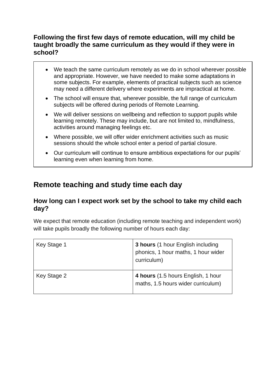#### **Following the first few days of remote education, will my child be taught broadly the same curriculum as they would if they were in school?**

- We teach the same curriculum remotely as we do in school wherever possible and appropriate. However, we have needed to make some adaptations in some subjects. For example, elements of practical subjects such as science may need a different delivery where experiments are impractical at home.
- The school will ensure that, wherever possible, the full range of curriculum subjects will be offered during periods of Remote Learning.
- We will deliver sessions on wellbeing and reflection to support pupils while learning remotely. These may include, but are not limited to, mindfulness, activities around managing feelings etc.
- Where possible, we will offer wider enrichment activities such as music sessions should the whole school enter a period of partial closure.
- Our curriculum will continue to ensure ambitious expectations for our pupils' learning even when learning from home.

### **Remote teaching and study time each day**

#### **How long can I expect work set by the school to take my child each day?**

We expect that remote education (including remote teaching and independent work) will take pupils broadly the following number of hours each day:

| Key Stage 1 | 3 hours (1 hour English including<br>phonics, 1 hour maths, 1 hour wider<br>curriculum) |
|-------------|-----------------------------------------------------------------------------------------|
| Key Stage 2 | 4 hours (1.5 hours English, 1 hour<br>maths, 1.5 hours wider curriculum)                |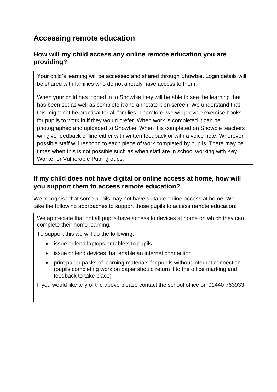### **Accessing remote education**

#### **How will my child access any online remote education you are providing?**

Your child's learning will be accessed and shared through Showbie. Login details will be shared with families who do not already have access to them.

When your child has logged in to Showbie they will be able to see the learning that has been set as well as complete it and annotate it on screen. We understand that this might not be practical for all families. Therefore, we will provide exercise books for pupils to work in if they would prefer. When work is completed it can be photographed and uploaded to Showbie. When it is completed on Showbie teachers will give feedback online either with written feedback or with a voice note. Wherever possible staff will respond to each piece of work completed by pupils. There may be times when this is not possible such as when staff are in school working with Key Worker or Vulnerable Pupil groups.

#### **If my child does not have digital or online access at home, how will you support them to access remote education?**

We recognise that some pupils may not have suitable online access at home. We take the following approaches to support those pupils to access remote education:

We appreciate that not all pupils have access to devices at home on which they can complete their home learning.

To support this we will do the following:

- issue or lend laptops or tablets to pupils
- issue or lend devices that enable an internet connection
- print paper packs of learning materials for pupils without internet connection (pupils completing work on paper should return it to the office marking and feedback to take place)

If you would like any of the above please contact the school office on 01440 763933.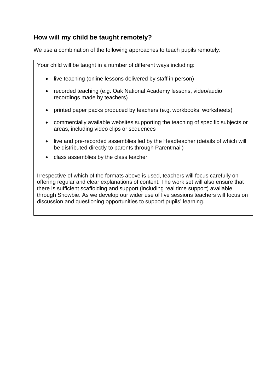#### **How will my child be taught remotely?**

We use a combination of the following approaches to teach pupils remotely:

Your child will be taught in a number of different ways including:

- live teaching (online lessons delivered by staff in person)
- recorded teaching (e.g. Oak National Academy lessons, video/audio recordings made by teachers)
- printed paper packs produced by teachers (e.g. workbooks, worksheets)
- commercially available websites supporting the teaching of specific subjects or areas, including video clips or sequences
- live and pre-recorded assemblies led by the Headteacher (details of which will be distributed directly to parents through Parentmail)
- class assemblies by the class teacher

Irrespective of which of the formats above is used, teachers will focus carefully on offering regular and clear explanations of content. The work set will also ensure that there is sufficient scaffolding and support (including real time support) available through Showbie. As we develop our wider use of live sessions teachers will focus on discussion and questioning opportunities to support pupils' learning.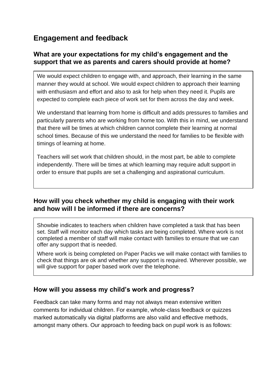## **Engagement and feedback**

#### **What are your expectations for my child's engagement and the support that we as parents and carers should provide at home?**

We would expect children to engage with, and approach, their learning in the same manner they would at school. We would expect children to approach their learning with enthusiasm and effort and also to ask for help when they need it. Pupils are expected to complete each piece of work set for them across the day and week.

We understand that learning from home is difficult and adds pressures to families and particularly parents who are working from home too. With this in mind, we understand that there will be times at which children cannot complete their learning at normal school times. Because of this we understand the need for families to be flexible with timings of learning at home.

Teachers will set work that children should, in the most part, be able to complete independently. There will be times at which learning may require adult support in order to ensure that pupils are set a challenging and aspirational curriculum.

#### **How will you check whether my child is engaging with their work and how will I be informed if there are concerns?**

Showbie indicates to teachers when children have completed a task that has been set. Staff will monitor each day which tasks are being completed. Where work is not completed a member of staff will make contact with families to ensure that we can offer any support that is needed.

Where work is being completed on Paper Packs we will make contact with families to check that things are ok and whether any support is required. Wherever possible, we will give support for paper based work over the telephone.

#### **How will you assess my child's work and progress?**

Feedback can take many forms and may not always mean extensive written comments for individual children. For example, whole-class feedback or quizzes marked automatically via digital platforms are also valid and effective methods, amongst many others. Our approach to feeding back on pupil work is as follows: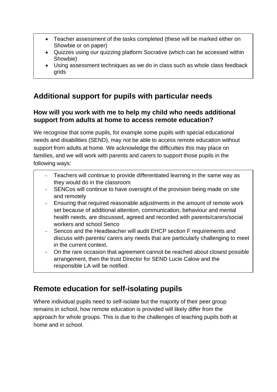- Teacher assessment of the tasks completed (these will be marked either on Showbie or on paper)
- Quizzes using our quizzing platform Socrative (which can be accessed within Showbie)
- Using assessment techniques as we do in class such as whole class feedback grids

## **Additional support for pupils with particular needs**

#### **How will you work with me to help my child who needs additional support from adults at home to access remote education?**

We recognise that some pupils, for example some pupils with special educational needs and disabilities (SEND), may not be able to access remote education without support from adults at home. We acknowledge the difficulties this may place on families, and we will work with parents and carers to support those pupils in the following ways:

- Teachers will continue to provide differentiated learning in the same way as they would do in the classroom
- SENCos will continue to have oversight of the provision being made on site and remotely
- Ensuring that required reasonable adjustments in the amount of remote work set because of additional attention, communication, behaviour and mental health needs, are discussed, agreed and recorded with parents/carers/social workers and school Senco
- Sencos and the Headteacher will audit EHCP section F requirements and discuss with parents/ carers any needs that are particularly challenging to meet in the current context.
- On the rare occasion that agreement cannot be reached about closest possible arrangement, then the trust Director for SEND Lucie Calow and the responsible LA will be notified.

## **Remote education for self-isolating pupils**

Where individual pupils need to self-isolate but the majority of their peer group remains in school, how remote education is provided will likely differ from the approach for whole groups. This is due to the challenges of teaching pupils both at home and in school.